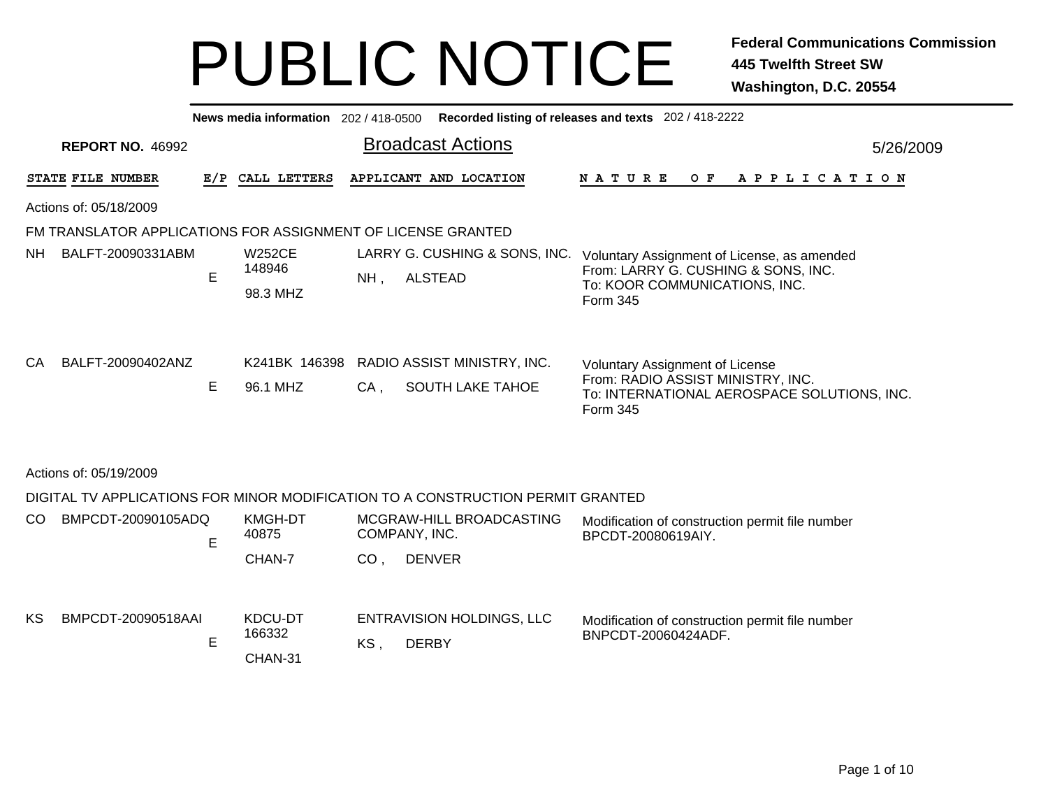|    | News media information 202 / 418-0500 Recorded listing of releases and texts 202 / 418-2222 |                                                              |     |                                     |               |                                  |  |                                                                                             |                                                                                                                                        |  |  |  |     |  |  |                       |  |           |
|----|---------------------------------------------------------------------------------------------|--------------------------------------------------------------|-----|-------------------------------------|---------------|----------------------------------|--|---------------------------------------------------------------------------------------------|----------------------------------------------------------------------------------------------------------------------------------------|--|--|--|-----|--|--|-----------------------|--|-----------|
|    |                                                                                             | <b>REPORT NO. 46992</b>                                      |     |                                     |               |                                  |  | <b>Broadcast Actions</b>                                                                    |                                                                                                                                        |  |  |  |     |  |  |                       |  | 5/26/2009 |
|    |                                                                                             | STATE FILE NUMBER                                            | E/P |                                     | CALL LETTERS  |                                  |  | APPLICANT AND LOCATION                                                                      | <b>NATURE</b>                                                                                                                          |  |  |  | O F |  |  | A P P L I C A T I O N |  |           |
|    | Actions of: 05/18/2009                                                                      |                                                              |     |                                     |               |                                  |  |                                                                                             |                                                                                                                                        |  |  |  |     |  |  |                       |  |           |
|    |                                                                                             | FM TRANSLATOR APPLICATIONS FOR ASSIGNMENT OF LICENSE GRANTED |     |                                     |               |                                  |  |                                                                                             |                                                                                                                                        |  |  |  |     |  |  |                       |  |           |
| NH |                                                                                             | BALFT-20090331ABM                                            | E   | <b>W252CE</b><br>148946<br>98.3 MHZ |               | $NH$ ,                           |  | LARRY G. CUSHING & SONS, INC. Voluntary Assignment of License, as amended<br><b>ALSTEAD</b> | From: LARRY G. CUSHING & SONS, INC.<br>To: KOOR COMMUNICATIONS, INC.<br>Form 345                                                       |  |  |  |     |  |  |                       |  |           |
| CA |                                                                                             | BALFT-20090402ANZ                                            | Е   | 96.1 MHZ                            | K241BK 146398 | $CA$ ,                           |  | RADIO ASSIST MINISTRY, INC.<br>SOUTH LAKE TAHOE                                             | <b>Voluntary Assignment of License</b><br>From: RADIO ASSIST MINISTRY, INC.<br>To: INTERNATIONAL AEROSPACE SOLUTIONS, INC.<br>Form 345 |  |  |  |     |  |  |                       |  |           |
|    | Actions of: 05/19/2009                                                                      |                                                              |     |                                     |               |                                  |  |                                                                                             |                                                                                                                                        |  |  |  |     |  |  |                       |  |           |
|    |                                                                                             |                                                              |     |                                     |               |                                  |  | DIGITAL TV APPLICATIONS FOR MINOR MODIFICATION TO A CONSTRUCTION PERMIT GRANTED             |                                                                                                                                        |  |  |  |     |  |  |                       |  |           |
| CO |                                                                                             | BMPCDT-20090105ADQ                                           | E   | KMGH-DT<br>40875<br>CHAN-7          |               | COMPANY, INC.<br>CO <sub>1</sub> |  | MCGRAW-HILL BROADCASTING<br><b>DENVER</b>                                                   | Modification of construction permit file number<br>BPCDT-20080619AIY.                                                                  |  |  |  |     |  |  |                       |  |           |
| KS |                                                                                             | BMPCDT-20090518AAI                                           | E   | KDCU-DT<br>166332<br>CHAN-31        |               | KS,                              |  | <b>ENTRAVISION HOLDINGS, LLC</b><br><b>DERBY</b>                                            | Modification of construction permit file number<br>BNPCDT-20060424ADF.                                                                 |  |  |  |     |  |  |                       |  |           |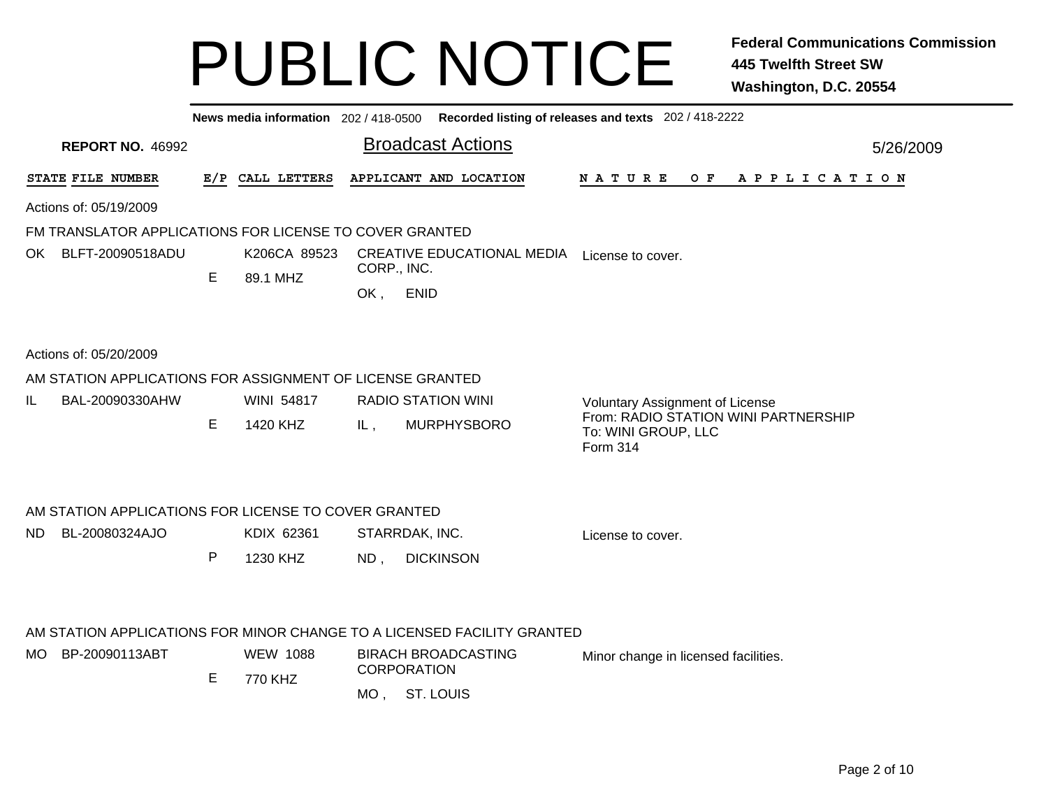|      |                                                           |   | News media information 202/418-0500 |             |                                                                         | Recorded listing of releases and texts 202 / 418-2222                   |           |  |  |  |  |  |
|------|-----------------------------------------------------------|---|-------------------------------------|-------------|-------------------------------------------------------------------------|-------------------------------------------------------------------------|-----------|--|--|--|--|--|
|      |                                                           |   |                                     |             |                                                                         |                                                                         |           |  |  |  |  |  |
|      | <b>REPORT NO. 46992</b>                                   |   |                                     |             | <b>Broadcast Actions</b>                                                |                                                                         | 5/26/2009 |  |  |  |  |  |
|      | STATE FILE NUMBER                                         |   | E/P CALL LETTERS                    |             | APPLICANT AND LOCATION                                                  | N A T U R E<br>O F<br>A P P L I C A T I O N                             |           |  |  |  |  |  |
|      | Actions of: 05/19/2009                                    |   |                                     |             |                                                                         |                                                                         |           |  |  |  |  |  |
|      | FM TRANSLATOR APPLICATIONS FOR LICENSE TO COVER GRANTED   |   |                                     |             |                                                                         |                                                                         |           |  |  |  |  |  |
|      | OK BLFT-20090518ADU                                       |   | K206CA 89523                        |             | <b>CREATIVE EDUCATIONAL MEDIA</b>                                       | License to cover.                                                       |           |  |  |  |  |  |
|      |                                                           | Е | 89.1 MHZ                            | CORP., INC. |                                                                         |                                                                         |           |  |  |  |  |  |
|      |                                                           |   |                                     | OK,         | <b>ENID</b>                                                             |                                                                         |           |  |  |  |  |  |
|      |                                                           |   |                                     |             |                                                                         |                                                                         |           |  |  |  |  |  |
|      | Actions of: 05/20/2009                                    |   |                                     |             |                                                                         |                                                                         |           |  |  |  |  |  |
|      | AM STATION APPLICATIONS FOR ASSIGNMENT OF LICENSE GRANTED |   |                                     |             |                                                                         |                                                                         |           |  |  |  |  |  |
| IL.  | BAL-20090330AHW                                           |   | <b>WINI 54817</b>                   |             | <b>RADIO STATION WINI</b>                                               | Voluntary Assignment of License                                         |           |  |  |  |  |  |
|      |                                                           | Е | 1420 KHZ                            | IL,         | <b>MURPHYSBORO</b>                                                      | From: RADIO STATION WINI PARTNERSHIP<br>To: WINI GROUP, LLC<br>Form 314 |           |  |  |  |  |  |
|      |                                                           |   |                                     |             |                                                                         |                                                                         |           |  |  |  |  |  |
|      | AM STATION APPLICATIONS FOR LICENSE TO COVER GRANTED      |   |                                     |             |                                                                         |                                                                         |           |  |  |  |  |  |
| ND.  | BL-20080324AJO                                            |   | KDIX 62361                          |             | STARRDAK, INC.                                                          | License to cover.                                                       |           |  |  |  |  |  |
|      |                                                           | P | 1230 KHZ                            | $ND$ ,      | <b>DICKINSON</b>                                                        |                                                                         |           |  |  |  |  |  |
|      |                                                           |   |                                     |             |                                                                         |                                                                         |           |  |  |  |  |  |
|      |                                                           |   |                                     |             | AM STATION APPLICATIONS FOR MINOR CHANGE TO A LICENSED FACILITY GRANTED |                                                                         |           |  |  |  |  |  |
| MO - | BP-20090113ABT                                            | E | <b>WEW 1088</b>                     |             | <b>BIRACH BROADCASTING</b><br><b>CORPORATION</b>                        | Minor change in licensed facilities.                                    |           |  |  |  |  |  |
|      |                                                           |   | 770 KHZ                             |             | MO, ST. LOUIS                                                           |                                                                         |           |  |  |  |  |  |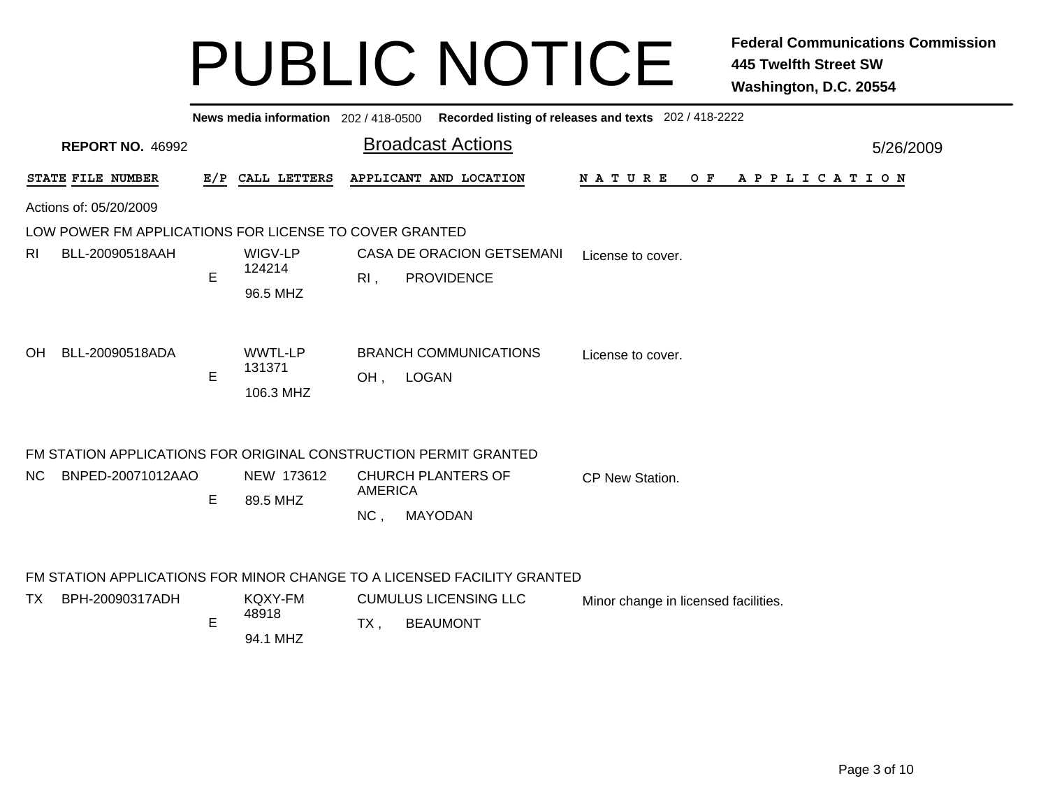| News media information 202 / 418-0500 Recorded listing of releases and texts 202 / 418-2222 |                                                                  |    |                                       |                |                                                                         |                                      |                       |  |  |  |  |  |  |
|---------------------------------------------------------------------------------------------|------------------------------------------------------------------|----|---------------------------------------|----------------|-------------------------------------------------------------------------|--------------------------------------|-----------------------|--|--|--|--|--|--|
|                                                                                             | <b>REPORT NO. 46992</b>                                          |    |                                       |                | <b>Broadcast Actions</b>                                                |                                      | 5/26/2009             |  |  |  |  |  |  |
|                                                                                             | STATE FILE NUMBER                                                |    | E/P CALL LETTERS                      |                | APPLICANT AND LOCATION                                                  | NATURE<br>O F                        | A P P L I C A T I O N |  |  |  |  |  |  |
|                                                                                             | Actions of: 05/20/2009                                           |    |                                       |                |                                                                         |                                      |                       |  |  |  |  |  |  |
|                                                                                             | LOW POWER FM APPLICATIONS FOR LICENSE TO COVER GRANTED           |    |                                       |                |                                                                         |                                      |                       |  |  |  |  |  |  |
| RI.                                                                                         | BLL-20090518AAH                                                  |    | WIGV-LP<br>124214                     |                | CASA DE ORACION GETSEMANI                                               | License to cover.                    |                       |  |  |  |  |  |  |
|                                                                                             |                                                                  | Е  | 96.5 MHZ                              | $R1$ ,         | <b>PROVIDENCE</b>                                                       |                                      |                       |  |  |  |  |  |  |
| OH.                                                                                         | BLL-20090518ADA                                                  | E  | <b>WWTL-LP</b><br>131371<br>106.3 MHZ |                | <b>BRANCH COMMUNICATIONS</b><br>OH, LOGAN                               | License to cover.                    |                       |  |  |  |  |  |  |
|                                                                                             | FM STATION APPLICATIONS FOR ORIGINAL CONSTRUCTION PERMIT GRANTED |    |                                       |                |                                                                         |                                      |                       |  |  |  |  |  |  |
| NC.                                                                                         | BNPED-20071012AAO                                                | E. | NEW 173612                            | <b>AMERICA</b> | <b>CHURCH PLANTERS OF</b>                                               | <b>CP New Station.</b>               |                       |  |  |  |  |  |  |
|                                                                                             |                                                                  |    | 89.5 MHZ                              | NC,            | <b>MAYODAN</b>                                                          |                                      |                       |  |  |  |  |  |  |
|                                                                                             |                                                                  |    |                                       |                | FM STATION APPLICATIONS FOR MINOR CHANGE TO A LICENSED FACILITY GRANTED |                                      |                       |  |  |  |  |  |  |
| TX.                                                                                         | BPH-20090317ADH                                                  | E  | <b>KQXY-FM</b><br>48918               | $TX$ ,         | <b>CUMULUS LICENSING LLC</b><br><b>BEAUMONT</b>                         | Minor change in licensed facilities. |                       |  |  |  |  |  |  |
|                                                                                             |                                                                  |    | 94.1 MHZ                              |                |                                                                         |                                      |                       |  |  |  |  |  |  |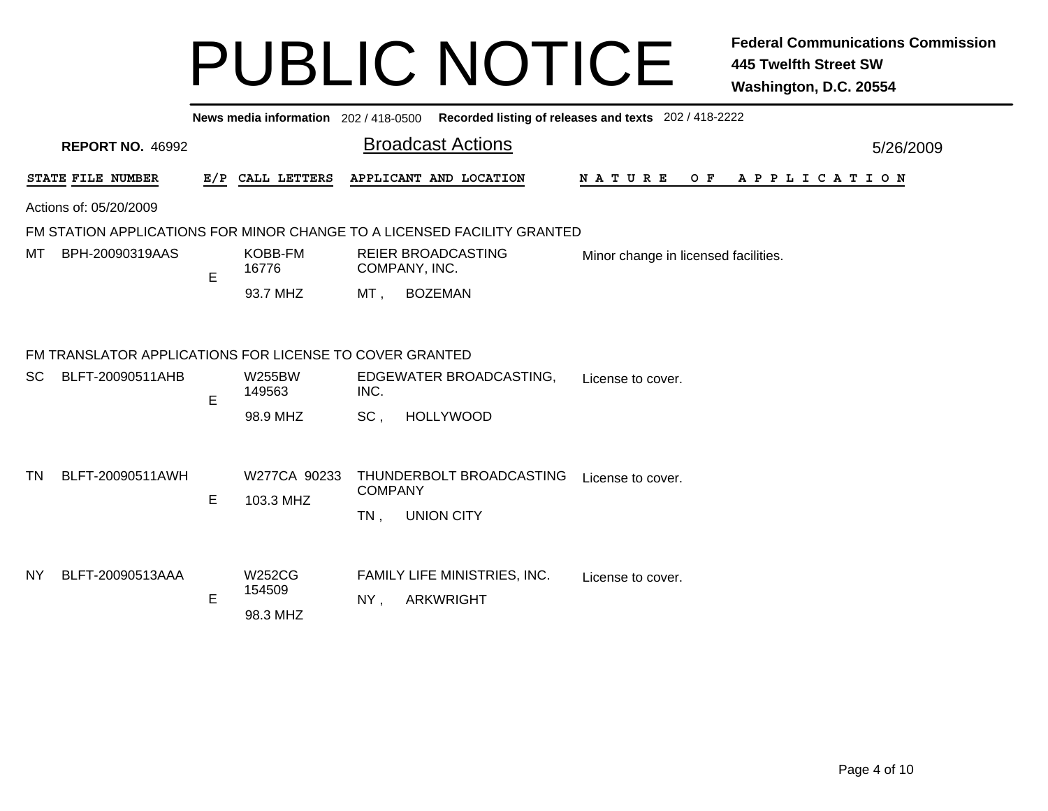|     |                                                         |   |                              | News media information 202 / 418-0500 Recorded listing of releases and texts 202 / 418-2222 |           |  |  |  |  |  |  |  |  |
|-----|---------------------------------------------------------|---|------------------------------|---------------------------------------------------------------------------------------------|-----------|--|--|--|--|--|--|--|--|
|     | <b>REPORT NO. 46992</b>                                 |   |                              | <b>Broadcast Actions</b>                                                                    | 5/26/2009 |  |  |  |  |  |  |  |  |
|     | STATE FILE NUMBER                                       |   | E/P CALL LETTERS             | APPLICANT AND LOCATION<br><b>NATURE</b><br>O F<br>A P P L I C A T I O N                     |           |  |  |  |  |  |  |  |  |
|     | Actions of: 05/20/2009                                  |   |                              |                                                                                             |           |  |  |  |  |  |  |  |  |
|     |                                                         |   |                              | FM STATION APPLICATIONS FOR MINOR CHANGE TO A LICENSED FACILITY GRANTED                     |           |  |  |  |  |  |  |  |  |
| МT  | BPH-20090319AAS                                         | E | KOBB-FM<br>16776             | <b>REIER BROADCASTING</b><br>Minor change in licensed facilities.<br>COMPANY, INC.          |           |  |  |  |  |  |  |  |  |
|     |                                                         |   | 93.7 MHZ                     | <b>BOZEMAN</b><br>MT,                                                                       |           |  |  |  |  |  |  |  |  |
|     | FM TRANSLATOR APPLICATIONS FOR LICENSE TO COVER GRANTED |   |                              |                                                                                             |           |  |  |  |  |  |  |  |  |
| SC  | BLFT-20090511AHB                                        | E | W255BW<br>149563             | EDGEWATER BROADCASTING,<br>License to cover.<br>INC.                                        |           |  |  |  |  |  |  |  |  |
|     |                                                         |   | 98.9 MHZ                     | SC,<br><b>HOLLYWOOD</b>                                                                     |           |  |  |  |  |  |  |  |  |
| TN  | BLFT-20090511AWH                                        | E | W277CA 90233<br>103.3 MHZ    | THUNDERBOLT BROADCASTING<br>License to cover.<br><b>COMPANY</b>                             |           |  |  |  |  |  |  |  |  |
|     |                                                         |   |                              | <b>UNION CITY</b><br>$TN$ ,                                                                 |           |  |  |  |  |  |  |  |  |
| NY. | BLFT-20090513AAA                                        | E | W252CG<br>154509<br>98.3 MHZ | FAMILY LIFE MINISTRIES, INC.<br>License to cover.<br><b>ARKWRIGHT</b><br>NY,                |           |  |  |  |  |  |  |  |  |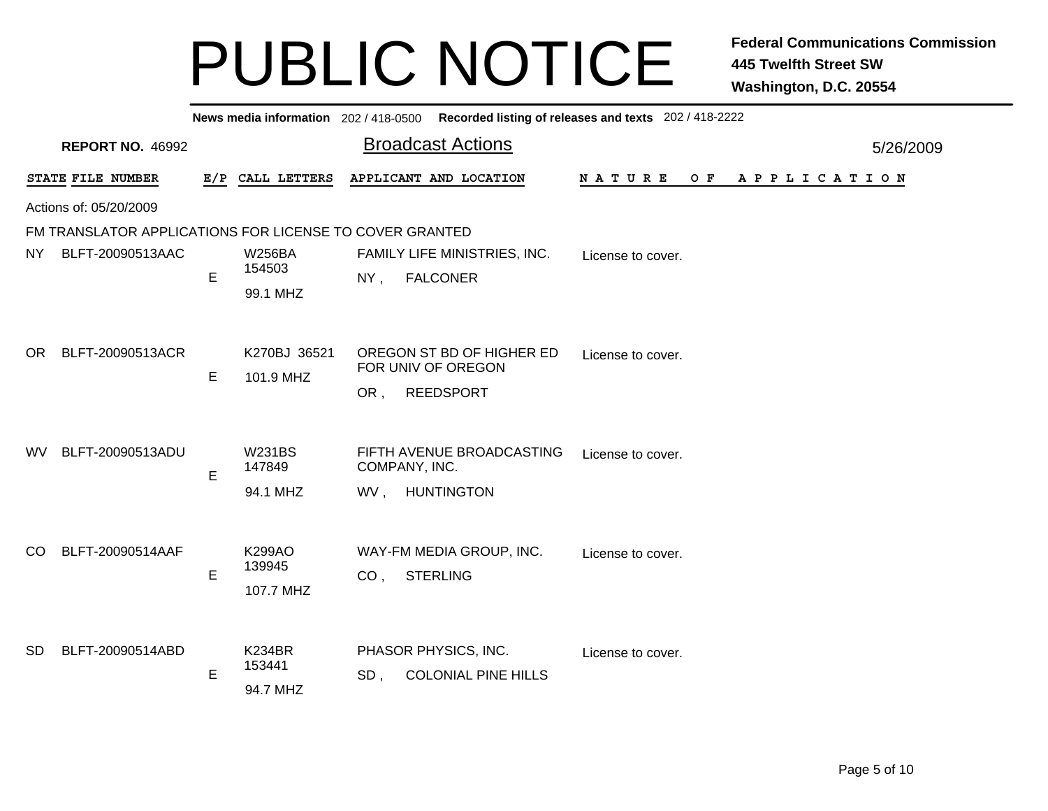| News media information 202 / 418-0500 Recorded listing of releases and texts 202 / 418-2222 |                                                         |    |                           |                                                                                |           |  |  |  |  |  |
|---------------------------------------------------------------------------------------------|---------------------------------------------------------|----|---------------------------|--------------------------------------------------------------------------------|-----------|--|--|--|--|--|
|                                                                                             | <b>REPORT NO. 46992</b>                                 |    |                           | <b>Broadcast Actions</b>                                                       | 5/26/2009 |  |  |  |  |  |
|                                                                                             | STATE FILE NUMBER                                       |    | E/P CALL LETTERS          | APPLICANT AND LOCATION<br>N A T U R E<br>O F<br>A P P L I C A T I O N          |           |  |  |  |  |  |
|                                                                                             | Actions of: 05/20/2009                                  |    |                           |                                                                                |           |  |  |  |  |  |
|                                                                                             | FM TRANSLATOR APPLICATIONS FOR LICENSE TO COVER GRANTED |    |                           |                                                                                |           |  |  |  |  |  |
| NY.                                                                                         | BLFT-20090513AAC                                        | E  | <b>W256BA</b><br>154503   | FAMILY LIFE MINISTRIES, INC.<br>License to cover.<br><b>FALCONER</b><br>$NY$ , |           |  |  |  |  |  |
|                                                                                             |                                                         |    | 99.1 MHZ                  |                                                                                |           |  |  |  |  |  |
| OR.                                                                                         | BLFT-20090513ACR                                        | E. | K270BJ 36521<br>101.9 MHZ | OREGON ST BD OF HIGHER ED<br>License to cover.<br>FOR UNIV OF OREGON           |           |  |  |  |  |  |
|                                                                                             |                                                         |    |                           | <b>REEDSPORT</b><br>OR,                                                        |           |  |  |  |  |  |
| WV.                                                                                         | BLFT-20090513ADU                                        | E  | <b>W231BS</b><br>147849   | FIFTH AVENUE BROADCASTING<br>License to cover.<br>COMPANY, INC.                |           |  |  |  |  |  |
|                                                                                             |                                                         |    | 94.1 MHZ                  | <b>HUNTINGTON</b><br>WV,                                                       |           |  |  |  |  |  |
|                                                                                             |                                                         |    |                           |                                                                                |           |  |  |  |  |  |
| CO.                                                                                         | BLFT-20090514AAF                                        | E  | K299AO<br>139945          | WAY-FM MEDIA GROUP, INC.<br>License to cover.                                  |           |  |  |  |  |  |
|                                                                                             |                                                         |    | 107.7 MHZ                 | CO <sub>1</sub><br><b>STERLING</b>                                             |           |  |  |  |  |  |
| <b>SD</b>                                                                                   | BLFT-20090514ABD                                        |    | <b>K234BR</b>             | PHASOR PHYSICS, INC.<br>License to cover.                                      |           |  |  |  |  |  |
|                                                                                             |                                                         | E  | 153441<br>94.7 MHZ        | <b>COLONIAL PINE HILLS</b><br>SD,                                              |           |  |  |  |  |  |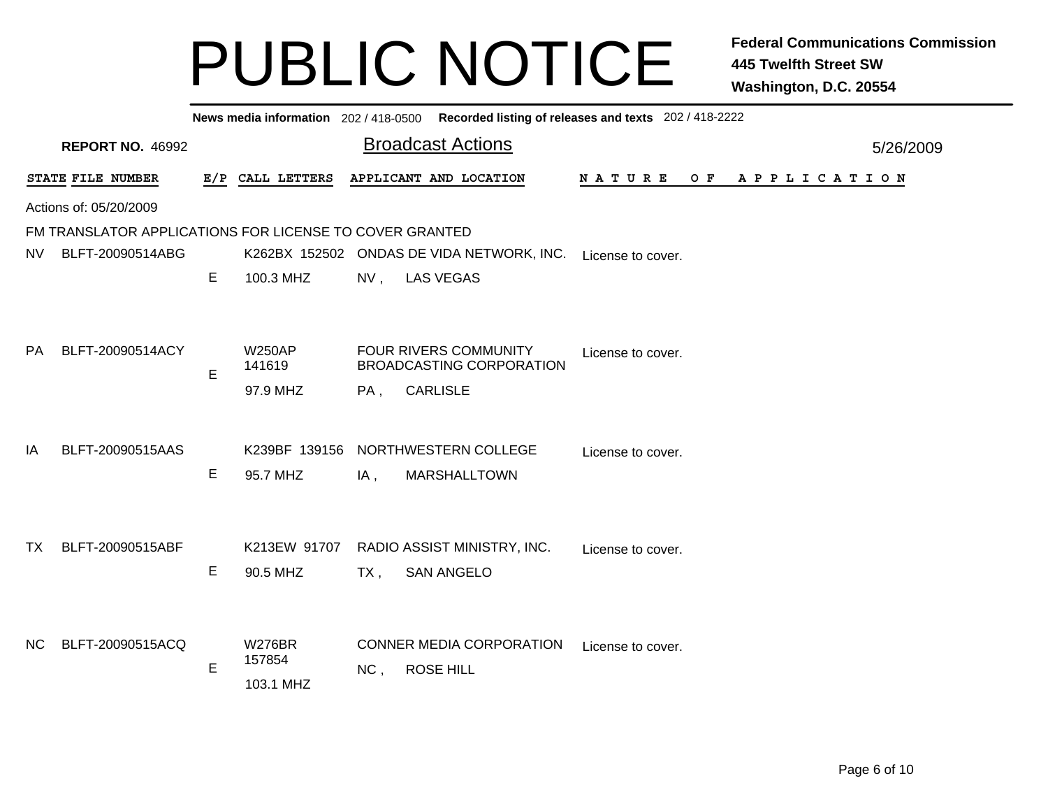|           | News media information 202/418-0500 Recorded listing of releases and texts 202/418-2222 |    |                         |                         |                                                                 |                   |                |  |  |  |  |  |  |
|-----------|-----------------------------------------------------------------------------------------|----|-------------------------|-------------------------|-----------------------------------------------------------------|-------------------|----------------|--|--|--|--|--|--|
|           | <b>REPORT NO. 46992</b>                                                                 |    |                         |                         | <b>Broadcast Actions</b>                                        |                   | 5/26/2009      |  |  |  |  |  |  |
|           | STATE FILE NUMBER                                                                       |    | E/P CALL LETTERS        |                         | APPLICANT AND LOCATION                                          | N A T U R E       | OF APPLICATION |  |  |  |  |  |  |
|           | Actions of: 05/20/2009                                                                  |    |                         |                         |                                                                 |                   |                |  |  |  |  |  |  |
|           | FM TRANSLATOR APPLICATIONS FOR LICENSE TO COVER GRANTED                                 |    |                         |                         |                                                                 |                   |                |  |  |  |  |  |  |
| NV.       | BLFT-20090514ABG                                                                        |    |                         |                         | K262BX 152502 ONDAS DE VIDA NETWORK, INC.                       | License to cover. |                |  |  |  |  |  |  |
|           |                                                                                         | E  | 100.3 MHZ               | $NV$ ,                  | <b>LAS VEGAS</b>                                                |                   |                |  |  |  |  |  |  |
|           |                                                                                         |    |                         |                         |                                                                 |                   |                |  |  |  |  |  |  |
|           |                                                                                         |    |                         |                         |                                                                 |                   |                |  |  |  |  |  |  |
| <b>PA</b> | BLFT-20090514ACY                                                                        | E  | <b>W250AP</b><br>141619 |                         | <b>FOUR RIVERS COMMUNITY</b><br><b>BROADCASTING CORPORATION</b> | License to cover. |                |  |  |  |  |  |  |
|           |                                                                                         |    | 97.9 MHZ                | PA,                     | <b>CARLISLE</b>                                                 |                   |                |  |  |  |  |  |  |
|           |                                                                                         |    |                         |                         |                                                                 |                   |                |  |  |  |  |  |  |
| IA        | BLFT-20090515AAS                                                                        |    |                         |                         | K239BF 139156 NORTHWESTERN COLLEGE                              | License to cover. |                |  |  |  |  |  |  |
|           |                                                                                         | Е  | 95.7 MHZ                | IA,                     | <b>MARSHALLTOWN</b>                                             |                   |                |  |  |  |  |  |  |
|           |                                                                                         |    |                         |                         |                                                                 |                   |                |  |  |  |  |  |  |
|           |                                                                                         |    |                         |                         |                                                                 |                   |                |  |  |  |  |  |  |
| TX.       | BLFT-20090515ABF                                                                        |    | K213EW 91707            |                         | RADIO ASSIST MINISTRY, INC.                                     | License to cover. |                |  |  |  |  |  |  |
|           |                                                                                         | E. | 90.5 MHZ                | TX,                     | <b>SAN ANGELO</b>                                               |                   |                |  |  |  |  |  |  |
|           |                                                                                         |    |                         |                         |                                                                 |                   |                |  |  |  |  |  |  |
|           |                                                                                         |    |                         |                         |                                                                 |                   |                |  |  |  |  |  |  |
| <b>NC</b> | BLFT-20090515ACQ                                                                        |    | <b>W276BR</b>           |                         | <b>CONNER MEDIA CORPORATION</b>                                 | License to cover. |                |  |  |  |  |  |  |
|           |                                                                                         | E  | 157854                  | <b>ROSE HILL</b><br>NC, |                                                                 |                   |                |  |  |  |  |  |  |
|           |                                                                                         |    | 103.1 MHZ               |                         |                                                                 |                   |                |  |  |  |  |  |  |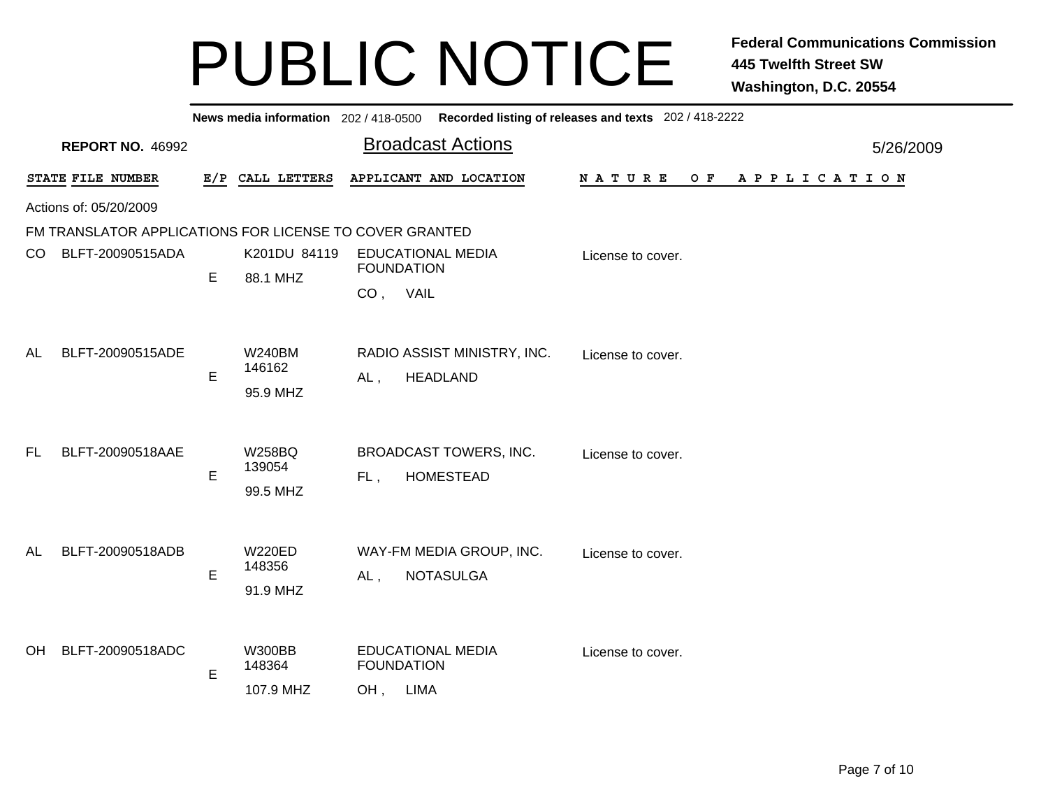| News media information 202/418-0500 Recorded listing of releases and texts 202/418-2222 |                                                         |   |                  |                                               |                          |  |  |  |  |  |  |  |
|-----------------------------------------------------------------------------------------|---------------------------------------------------------|---|------------------|-----------------------------------------------|--------------------------|--|--|--|--|--|--|--|
|                                                                                         | <b>REPORT NO. 46992</b>                                 |   |                  | <b>Broadcast Actions</b>                      |                          |  |  |  |  |  |  |  |
|                                                                                         | STATE FILE NUMBER                                       |   | E/P CALL LETTERS | APPLICANT AND LOCATION                        | NATURE<br>OF APPLICATION |  |  |  |  |  |  |  |
|                                                                                         | Actions of: 05/20/2009                                  |   |                  |                                               |                          |  |  |  |  |  |  |  |
|                                                                                         | FM TRANSLATOR APPLICATIONS FOR LICENSE TO COVER GRANTED |   |                  |                                               |                          |  |  |  |  |  |  |  |
| CO.                                                                                     | BLFT-20090515ADA                                        |   | K201DU 84119     | <b>EDUCATIONAL MEDIA</b><br>License to cover. |                          |  |  |  |  |  |  |  |
|                                                                                         |                                                         | E | 88.1 MHZ         | <b>FOUNDATION</b>                             |                          |  |  |  |  |  |  |  |
|                                                                                         |                                                         |   |                  | CO, VAIL                                      |                          |  |  |  |  |  |  |  |
|                                                                                         |                                                         |   |                  |                                               |                          |  |  |  |  |  |  |  |
| AL                                                                                      | BLFT-20090515ADE                                        |   | <b>W240BM</b>    | RADIO ASSIST MINISTRY, INC.                   |                          |  |  |  |  |  |  |  |
|                                                                                         |                                                         |   | 146162           |                                               | License to cover.        |  |  |  |  |  |  |  |
|                                                                                         |                                                         | E | 95.9 MHZ         | <b>HEADLAND</b><br>AL,                        |                          |  |  |  |  |  |  |  |
|                                                                                         |                                                         |   |                  |                                               |                          |  |  |  |  |  |  |  |
|                                                                                         |                                                         |   |                  |                                               |                          |  |  |  |  |  |  |  |
| FL.                                                                                     | BLFT-20090518AAE                                        |   | <b>W258BQ</b>    | <b>BROADCAST TOWERS, INC.</b>                 | License to cover.        |  |  |  |  |  |  |  |
|                                                                                         |                                                         | E | 139054           | <b>HOMESTEAD</b><br>FL,                       |                          |  |  |  |  |  |  |  |
|                                                                                         |                                                         |   | 99.5 MHZ         |                                               |                          |  |  |  |  |  |  |  |
|                                                                                         |                                                         |   |                  |                                               |                          |  |  |  |  |  |  |  |
| AL                                                                                      | BLFT-20090518ADB                                        |   | <b>W220ED</b>    | WAY-FM MEDIA GROUP, INC.                      |                          |  |  |  |  |  |  |  |
|                                                                                         |                                                         |   | 148356           |                                               | License to cover.        |  |  |  |  |  |  |  |
|                                                                                         |                                                         | E | 91.9 MHZ         | <b>NOTASULGA</b><br>$AL$ ,                    |                          |  |  |  |  |  |  |  |
|                                                                                         |                                                         |   |                  |                                               |                          |  |  |  |  |  |  |  |
|                                                                                         |                                                         |   |                  |                                               |                          |  |  |  |  |  |  |  |
| OH.                                                                                     | BLFT-20090518ADC                                        |   | <b>W300BB</b>    | <b>EDUCATIONAL MEDIA</b>                      | License to cover.        |  |  |  |  |  |  |  |
|                                                                                         |                                                         | E | 148364           | <b>FOUNDATION</b>                             |                          |  |  |  |  |  |  |  |
|                                                                                         |                                                         |   | 107.9 MHZ        | OH, LIMA                                      |                          |  |  |  |  |  |  |  |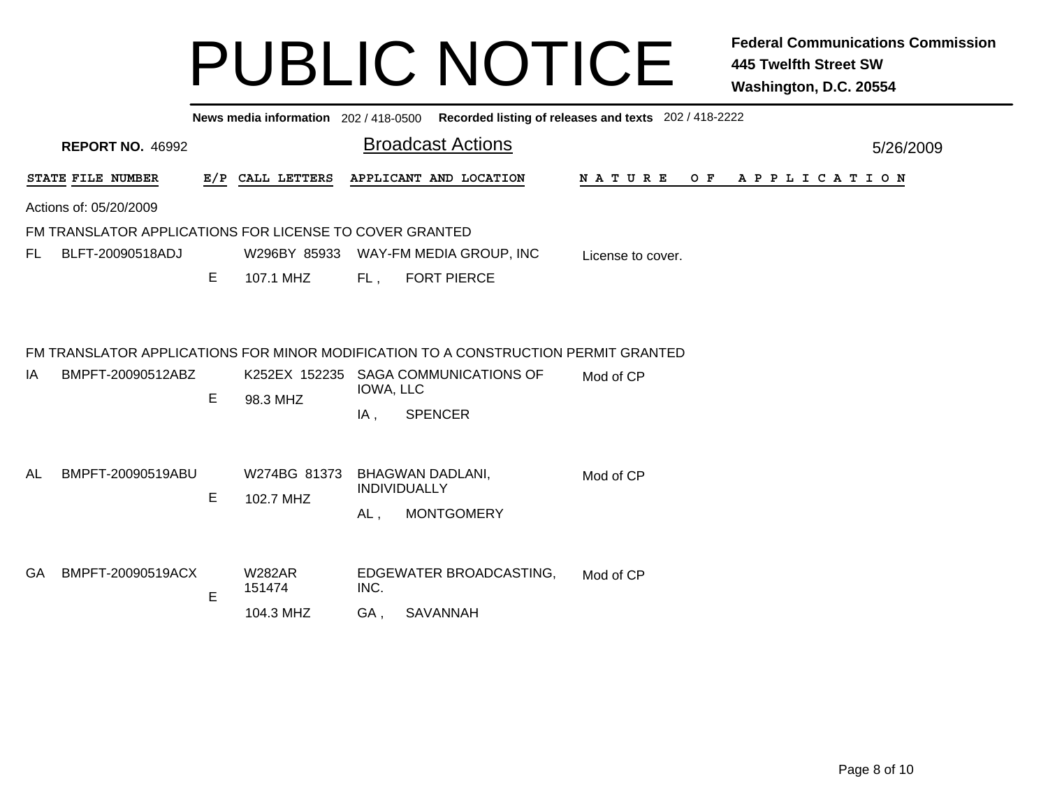|     | News media information 202 / 418-0500 Recorded listing of releases and texts 202 / 418-2222 |   |                           |                                              |                                                                                    |                               |  |  |  |  |  |           |
|-----|---------------------------------------------------------------------------------------------|---|---------------------------|----------------------------------------------|------------------------------------------------------------------------------------|-------------------------------|--|--|--|--|--|-----------|
|     | <b>REPORT NO. 46992</b>                                                                     |   |                           |                                              | <b>Broadcast Actions</b>                                                           |                               |  |  |  |  |  | 5/26/2009 |
|     | STATE FILE NUMBER                                                                           |   | E/P CALL LETTERS          |                                              | APPLICANT AND LOCATION                                                             | OF APPLICATION<br>N A T U R E |  |  |  |  |  |           |
|     | Actions of: 05/20/2009                                                                      |   |                           |                                              |                                                                                    |                               |  |  |  |  |  |           |
|     | FM TRANSLATOR APPLICATIONS FOR LICENSE TO COVER GRANTED                                     |   |                           |                                              |                                                                                    |                               |  |  |  |  |  |           |
| FL. | BLFT-20090518ADJ                                                                            |   | W296BY 85933              |                                              | WAY-FM MEDIA GROUP, INC                                                            | License to cover.             |  |  |  |  |  |           |
|     |                                                                                             | Е | 107.1 MHZ                 | FL,                                          | <b>FORT PIERCE</b>                                                                 |                               |  |  |  |  |  |           |
|     |                                                                                             |   |                           |                                              |                                                                                    |                               |  |  |  |  |  |           |
|     |                                                                                             |   |                           |                                              | FM TRANSLATOR APPLICATIONS FOR MINOR MODIFICATION TO A CONSTRUCTION PERMIT GRANTED |                               |  |  |  |  |  |           |
| IA  | BMPFT-20090512ABZ                                                                           | E | K252EX 152235<br>98.3 MHZ | IOWA, LLC                                    | <b>SAGA COMMUNICATIONS OF</b>                                                      | Mod of CP                     |  |  |  |  |  |           |
|     |                                                                                             |   |                           | IA,                                          | <b>SPENCER</b>                                                                     |                               |  |  |  |  |  |           |
|     |                                                                                             |   |                           |                                              |                                                                                    |                               |  |  |  |  |  |           |
| AL  | BMPFT-20090519ABU                                                                           | E | W274BG 81373<br>102.7 MHZ |                                              | <b>BHAGWAN DADLANI,</b><br>INDIVIDUALLY                                            | Mod of CP                     |  |  |  |  |  |           |
|     |                                                                                             |   |                           | AL,                                          | <b>MONTGOMERY</b>                                                                  |                               |  |  |  |  |  |           |
|     |                                                                                             |   |                           |                                              |                                                                                    |                               |  |  |  |  |  |           |
| GA  | BMPFT-20090519ACX                                                                           | E | <b>W282AR</b><br>151474   | EDGEWATER BROADCASTING,<br>Mod of CP<br>INC. |                                                                                    |                               |  |  |  |  |  |           |
|     |                                                                                             |   | 104.3 MHZ                 | GA,                                          | <b>SAVANNAH</b>                                                                    |                               |  |  |  |  |  |           |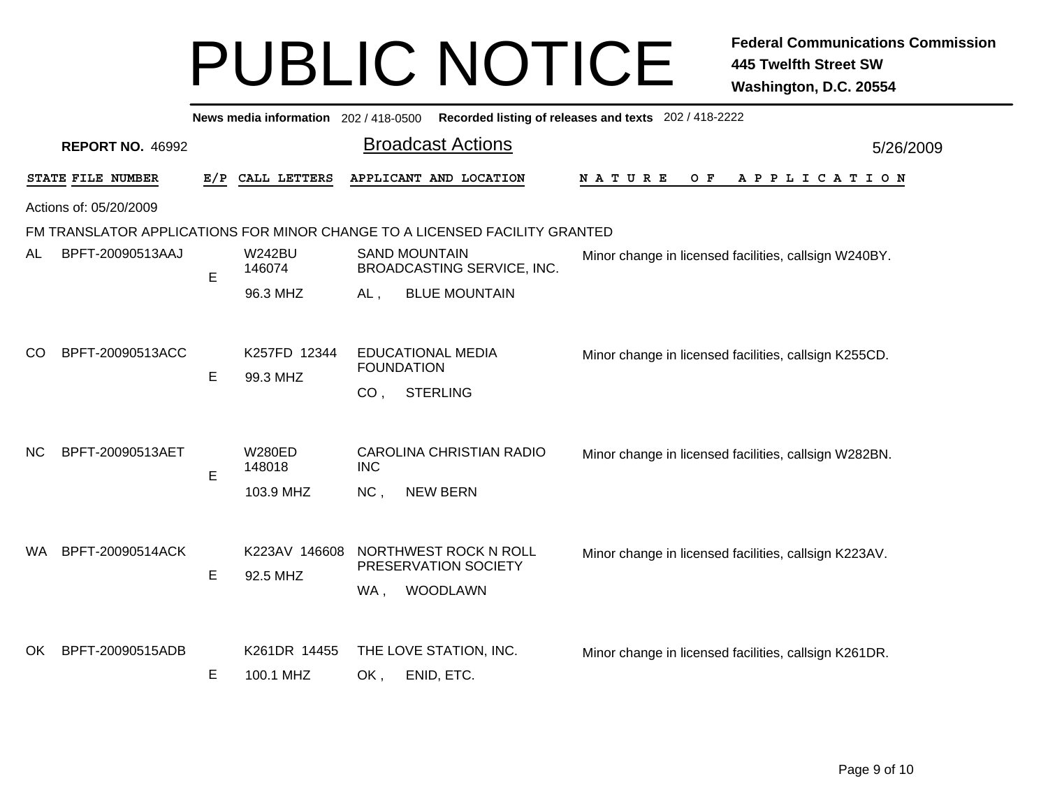| News media information 202 / 418-0500<br>Recorded listing of releases and texts 202 / 418-2222 |                         |     |                                        |                 |                                                                                     |                                                       |  |  |  |  |  |  |  |  |
|------------------------------------------------------------------------------------------------|-------------------------|-----|----------------------------------------|-----------------|-------------------------------------------------------------------------------------|-------------------------------------------------------|--|--|--|--|--|--|--|--|
|                                                                                                | <b>REPORT NO. 46992</b> |     |                                        |                 | <b>Broadcast Actions</b>                                                            | 5/26/2009                                             |  |  |  |  |  |  |  |  |
|                                                                                                | STATE FILE NUMBER       | E/P | CALL LETTERS                           |                 | APPLICANT AND LOCATION                                                              | $O$ $F$<br><b>NATURE</b><br>A P P L I C A T I O N     |  |  |  |  |  |  |  |  |
|                                                                                                | Actions of: 05/20/2009  |     |                                        |                 |                                                                                     |                                                       |  |  |  |  |  |  |  |  |
|                                                                                                |                         |     |                                        |                 | FM TRANSLATOR APPLICATIONS FOR MINOR CHANGE TO A LICENSED FACILITY GRANTED          |                                                       |  |  |  |  |  |  |  |  |
| AL                                                                                             | BPFT-20090513AAJ        | E   | <b>W242BU</b><br>146074                |                 | <b>SAND MOUNTAIN</b><br>BROADCASTING SERVICE, INC.                                  | Minor change in licensed facilities, callsign W240BY. |  |  |  |  |  |  |  |  |
|                                                                                                |                         |     | 96.3 MHZ                               | $AL$ ,          | <b>BLUE MOUNTAIN</b>                                                                |                                                       |  |  |  |  |  |  |  |  |
| <sub>CO</sub>                                                                                  | BPFT-20090513ACC        | E   | K257FD 12344<br>99.3 MHZ               | CO <sub>1</sub> | <b>EDUCATIONAL MEDIA</b><br><b>FOUNDATION</b><br><b>STERLING</b>                    | Minor change in licensed facilities, callsign K255CD. |  |  |  |  |  |  |  |  |
| <b>NC</b>                                                                                      | BPFT-20090513AET        | E   | W280ED<br>148018                       | <b>INC</b>      | <b>CAROLINA CHRISTIAN RADIO</b>                                                     | Minor change in licensed facilities, callsign W282BN. |  |  |  |  |  |  |  |  |
| WA.                                                                                            | BPFT-20090514ACK        | Е   | 103.9 MHZ<br>K223AV 146608<br>92.5 MHZ | NC,<br>WA,      | <b>NEW BERN</b><br>NORTHWEST ROCK N ROLL<br>PRESERVATION SOCIETY<br><b>WOODLAWN</b> | Minor change in licensed facilities, callsign K223AV. |  |  |  |  |  |  |  |  |
| OK.                                                                                            | BPFT-20090515ADB        | E   | K261DR 14455<br>100.1 MHZ              | OK,             | THE LOVE STATION, INC.<br>ENID, ETC.                                                | Minor change in licensed facilities, callsign K261DR. |  |  |  |  |  |  |  |  |